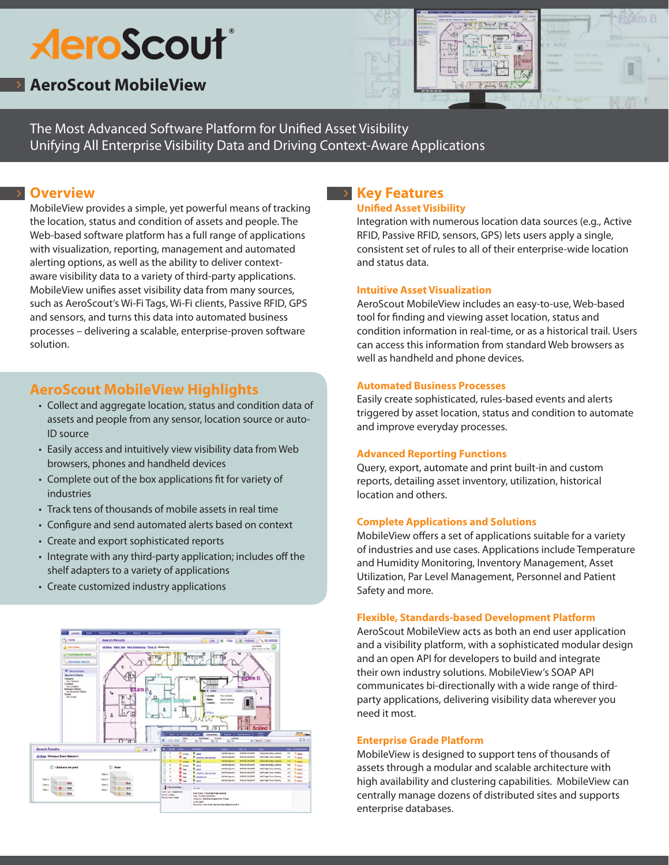# **AeroScout®**

## **AeroScout MobileView**



The Most Advanced Software Platform for Unified Asset Visibility Unifying All Enterprise Visibility Data and Driving Context-Aware Applications

## **Overview**

MobileView provides a simple, yet powerful means of tracking the location, status and condition of assets and people. The Web-based software platform has a full range of applications with visualization, reporting, management and automated alerting options, as well as the ability to deliver contextaware visibility data to a variety of third-party applications. MobileView unifies asset visibility data from many sources, such as AeroScout's Wi-Fi Tags, Wi-Fi clients, Passive RFID, GPS and sensors, and turns this data into automated business processes – delivering a scalable, enterprise-proven software solution.

## **AeroScout MobileView Highlights**

- Collect and aggregate location, status and condition data of assets and people from any sensor, location source or auto-ID source
- Easily access and intuitively view visibility data from Web browsers, phones and handheld devices
- • Complete out of the box applications fit for variety of industries
- Track tens of thousands of mobile assets in real time
- Configure and send automated alerts based on context
- Create and export sophisticated reports
- Integrate with any third-party application; includes off the shelf adapters to a variety of applications
- Create customized industry applications



## **Key Features**

#### **Unified Asset Visibility**

Integration with numerous location data sources (e.g., Active RFID, Passive RFID, sensors, GPS) lets users apply a single, consistent set of rules to all of their enterprise-wide location and status data.

## **Intuitive Asset Visualization**

AeroScout MobileView includes an easy-to-use, Web-based tool for finding and viewing asset location, status and condition information in real-time, or as a historical trail. Users can access this information from standard Web browsers as well as handheld and phone devices.

## **Automated Business Processes**

Easily create sophisticated, rules-based events and alerts triggered by asset location, status and condition to automate and improve everyday processes.

## **Advanced Reporting Functions**

Query, export, automate and print built-in and custom reports, detailing asset inventory, utilization, historical location and others.

## **Complete Applications and Solutions**

MobileView offers a set of applications suitable for a variety of industries and use cases. Applications include Temperature and Humidity Monitoring, Inventory Management, Asset Utilization, Par Level Management, Personnel and Patient Safety and more.

#### **Flexible, Standards-based Development Platform**

AeroScout MobileView acts as both an end user application and a visibility platform, with a sophisticated modular design and an open API for developers to build and integrate their own industry solutions. MobileView's SOAP API communicates bi-directionally with a wide range of thirdparty applications, delivering visibility data wherever you need it most.

## **Enterprise Grade Platform**

MobileView is designed to support tens of thousands of assets through a modular and scalable architecture with high availability and clustering capabilities. MobileView can centrally manage dozens of distributed sites and supports enterprise databases.